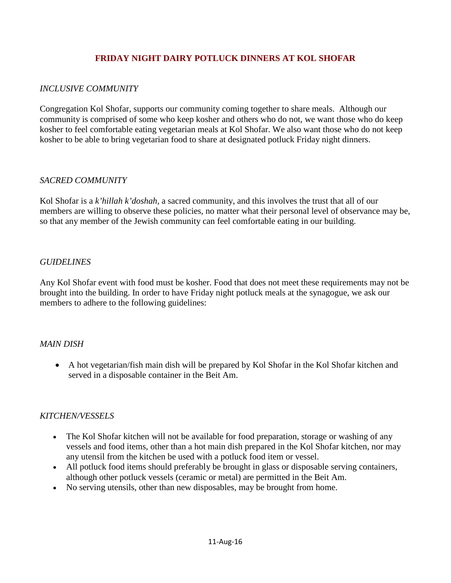# **FRIDAY NIGHT DAIRY POTLUCK DINNERS AT KOL SHOFAR**

#### *INCLUSIVE COMMUNITY*

Congregation Kol Shofar, supports our community coming together to share meals. Although our community is comprised of some who keep kosher and others who do not, we want those who do keep kosher to feel comfortable eating vegetarian meals at Kol Shofar. We also want those who do not keep kosher to be able to bring vegetarian food to share at designated potluck Friday night dinners.

#### *SACRED COMMUNITY*

Kol Shofar is a *k'hillah k'doshah*, a sacred community, and this involves the trust that all of our members are willing to observe these policies, no matter what their personal level of observance may be, so that any member of the Jewish community can feel comfortable eating in our building.

#### *GUIDELINES*

Any Kol Shofar event with food must be kosher. Food that does not meet these requirements may not be brought into the building. In order to have Friday night potluck meals at the synagogue, we ask our members to adhere to the following guidelines:

## *MAIN DISH*

• A hot vegetarian/fish main dish will be prepared by Kol Shofar in the Kol Shofar kitchen and served in a disposable container in the Beit Am.

## *KITCHEN/VESSELS*

- The Kol Shofar kitchen will not be available for food preparation, storage or washing of any vessels and food items, other than a hot main dish prepared in the Kol Shofar kitchen, nor may any utensil from the kitchen be used with a potluck food item or vessel.
- All potluck food items should preferably be brought in glass or disposable serving containers, although other potluck vessels (ceramic or metal) are permitted in the Beit Am.
- No serving utensils, other than new disposables, may be brought from home.